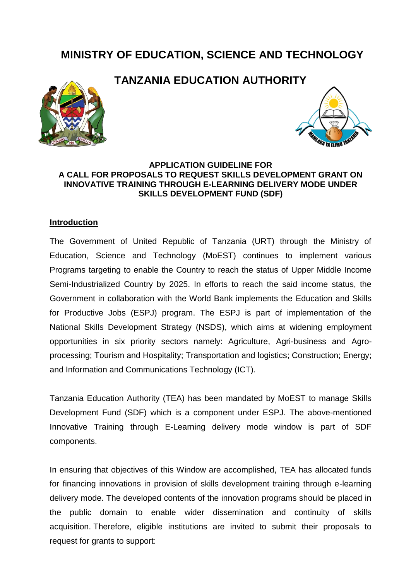# **MINISTRY OF EDUCATION, SCIENCE AND TECHNOLOGY**







#### **APPLICATION GUIDELINE FOR A CALL FOR PROPOSALS TO REQUEST SKILLS DEVELOPMENT GRANT ON INNOVATIVE TRAINING THROUGH E-LEARNING DELIVERY MODE UNDER SKILLS DEVELOPMENT FUND (SDF)**

#### **Introduction**

The Government of United Republic of Tanzania (URT) through the Ministry of Education, Science and Technology (MoEST) continues to implement various Programs targeting to enable the Country to reach the status of Upper Middle Income Semi-Industrialized Country by 2025. In efforts to reach the said income status, the Government in collaboration with the World Bank implements the Education and Skills for Productive Jobs (ESPJ) program. The ESPJ is part of implementation of the National Skills Development Strategy (NSDS), which aims at widening employment opportunities in six priority sectors namely: Agriculture, Agri-business and Agroprocessing; Tourism and Hospitality; Transportation and logistics; Construction; Energy; and Information and Communications Technology (ICT).

Tanzania Education Authority (TEA) has been mandated by MoEST to manage Skills Development Fund (SDF) which is a component under ESPJ. The above-mentioned Innovative Training through E-Learning delivery mode window is part of SDF components.

In ensuring that objectives of this Window are accomplished, TEA has allocated funds for financing innovations in provision of skills development training through e-learning delivery mode. The developed contents of the innovation programs should be placed in the public domain to enable wider dissemination and continuity of skills acquisition. Therefore, eligible institutions are invited to submit their proposals to request for grants to support: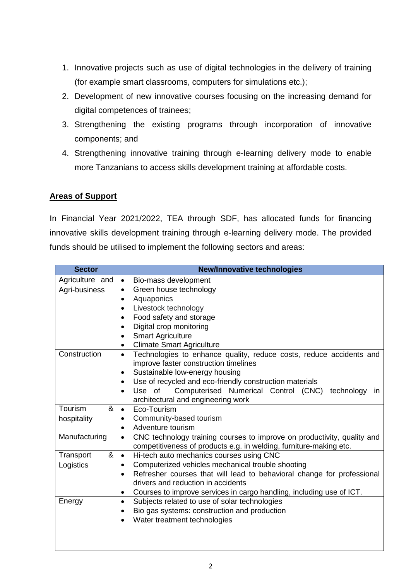- 1. Innovative projects such as use of digital technologies in the delivery of training (for example smart classrooms, computers for simulations etc.);
- 2. Development of new innovative courses focusing on the increasing demand for digital competences of trainees;
- 3. Strengthening the existing programs through incorporation of innovative components; and
- 4. Strengthening innovative training through e-learning delivery mode to enable more Tanzanians to access skills development training at affordable costs.

## **Areas of Support**

In Financial Year 2021/2022, TEA through SDF, has allocated funds for financing innovative skills development training through e-learning delivery mode. The provided funds should be utilised to implement the following sectors and areas:

| <b>Sector</b>   | <b>New/Innovative technologies</b>                                                                                           |
|-----------------|------------------------------------------------------------------------------------------------------------------------------|
| Agriculture and | Bio-mass development<br>$\bullet$                                                                                            |
| Agri-business   | Green house technology<br>$\bullet$                                                                                          |
|                 | Aquaponics<br>$\bullet$                                                                                                      |
|                 | Livestock technology<br>$\bullet$                                                                                            |
|                 | Food safety and storage<br>$\bullet$                                                                                         |
|                 | Digital crop monitoring<br>$\bullet$                                                                                         |
|                 | <b>Smart Agriculture</b>                                                                                                     |
|                 | <b>Climate Smart Agriculture</b><br>$\bullet$                                                                                |
| Construction    | Technologies to enhance quality, reduce costs, reduce accidents and<br>$\bullet$                                             |
|                 | improve faster construction timelines                                                                                        |
|                 | Sustainable low-energy housing<br>$\bullet$                                                                                  |
|                 | Use of recycled and eco-friendly construction materials<br>$\bullet$                                                         |
|                 | Computerised Numerical Control (CNC) technology<br>Use of<br>$\mathsf{I}$<br>$\bullet$<br>architectural and engineering work |
| Tourism<br>&    | Eco-Tourism<br>$\bullet$                                                                                                     |
| hospitality     | Community-based tourism<br>$\bullet$                                                                                         |
|                 | Adventure tourism<br>$\bullet$                                                                                               |
| Manufacturing   | CNC technology training courses to improve on productivity, quality and<br>$\bullet$                                         |
|                 | competitiveness of products e.g. in welding, furniture-making etc.                                                           |
| &<br>Transport  | Hi-tech auto mechanics courses using CNC<br>$\bullet$                                                                        |
| Logistics       | Computerized vehicles mechanical trouble shooting<br>$\bullet$                                                               |
|                 | Refresher courses that will lead to behavioral change for professional<br>$\bullet$                                          |
|                 | drivers and reduction in accidents                                                                                           |
|                 | Courses to improve services in cargo handling, including use of ICT.<br>$\bullet$                                            |
| Energy          | Subjects related to use of solar technologies<br>$\bullet$                                                                   |
|                 | Bio gas systems: construction and production<br>$\bullet$                                                                    |
|                 | Water treatment technologies                                                                                                 |
|                 |                                                                                                                              |
|                 |                                                                                                                              |
|                 |                                                                                                                              |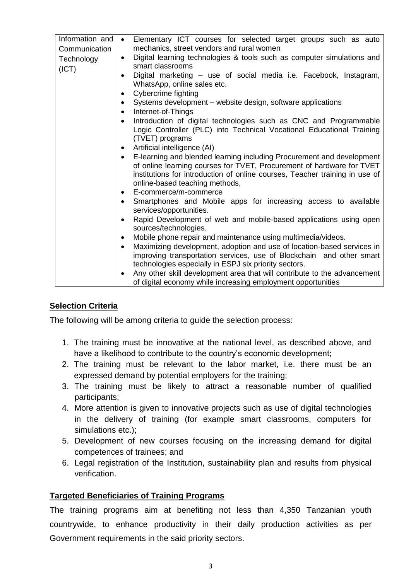| Information and |                                                                                       |
|-----------------|---------------------------------------------------------------------------------------|
|                 | Elementary ICT courses for selected target groups such as auto<br>$\bullet$           |
| Communication   | mechanics, street vendors and rural women                                             |
| Technology      | Digital learning technologies & tools such as computer simulations and<br>$\bullet$   |
| (ICT)           | smart classrooms                                                                      |
|                 | Digital marketing – use of social media i.e. Facebook, Instagram,<br>$\bullet$        |
|                 | WhatsApp, online sales etc.                                                           |
|                 | Cybercrime fighting<br>$\bullet$                                                      |
|                 | Systems development – website design, software applications<br>$\bullet$              |
|                 | Internet-of-Things<br>$\bullet$                                                       |
|                 | Introduction of digital technologies such as CNC and Programmable                     |
|                 | Logic Controller (PLC) into Technical Vocational Educational Training                 |
|                 |                                                                                       |
|                 | (TVET) programs                                                                       |
|                 | Artificial intelligence (AI)<br>$\bullet$                                             |
|                 | E-learning and blended learning including Procurement and development<br>$\bullet$    |
|                 | of online learning courses for TVET, Procurement of hardware for TVET                 |
|                 | institutions for introduction of online courses, Teacher training in use of           |
|                 | online-based teaching methods,                                                        |
|                 | E-commerce/m-commerce<br>$\bullet$                                                    |
|                 | Smartphones and Mobile apps for increasing access to available<br>$\bullet$           |
|                 | services/opportunities.                                                               |
|                 | Rapid Development of web and mobile-based applications using open<br>$\bullet$        |
|                 | sources/technologies.                                                                 |
|                 |                                                                                       |
|                 | Mobile phone repair and maintenance using multimedia/videos.<br>$\bullet$             |
|                 | Maximizing development, adoption and use of location-based services in<br>$\bullet$   |
|                 | improving transportation services, use of Blockchain and other smart                  |
|                 | technologies especially in ESPJ six priority sectors.                                 |
|                 | Any other skill development area that will contribute to the advancement<br>$\bullet$ |
|                 | of digital economy while increasing employment opportunities                          |

## **Selection Criteria**

The following will be among criteria to guide the selection process:

- 1. The training must be innovative at the national level, as described above, and have a likelihood to contribute to the country's economic development;
- 2. The training must be relevant to the labor market, i.e. there must be an expressed demand by potential employers for the training;
- 3. The training must be likely to attract a reasonable number of qualified participants;
- 4. More attention is given to innovative projects such as use of digital technologies in the delivery of training (for example smart classrooms, computers for simulations etc.);
- 5. Development of new courses focusing on the increasing demand for digital competences of trainees; and
- 6. Legal registration of the Institution, sustainability plan and results from physical verification.

#### **Targeted Beneficiaries of Training Programs**

The training programs aim at benefiting not less than 4,350 Tanzanian youth countrywide, to enhance productivity in their daily production activities as per Government requirements in the said priority sectors.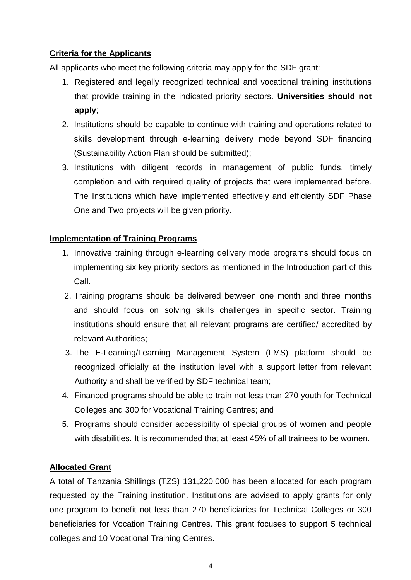## **Criteria for the Applicants**

All applicants who meet the following criteria may apply for the SDF grant:

- 1. Registered and legally recognized technical and vocational training institutions that provide training in the indicated priority sectors. **Universities should not apply**;
- 2. Institutions should be capable to continue with training and operations related to skills development through e-learning delivery mode beyond SDF financing (Sustainability Action Plan should be submitted);
- 3. Institutions with diligent records in management of public funds, timely completion and with required quality of projects that were implemented before. The Institutions which have implemented effectively and efficiently SDF Phase One and Two projects will be given priority.

## **Implementation of Training Programs**

- 1. Innovative training through e-learning delivery mode programs should focus on implementing six key priority sectors as mentioned in the Introduction part of this Call.
- 2. Training programs should be delivered between one month and three months and should focus on solving skills challenges in specific sector. Training institutions should ensure that all relevant programs are certified/ accredited by relevant Authorities;
- 3. The E-Learning/Learning Management System (LMS) platform should be recognized officially at the institution level with a support letter from relevant Authority and shall be verified by SDF technical team;
- 4. Financed programs should be able to train not less than 270 youth for Technical Colleges and 300 for Vocational Training Centres; and
- 5. Programs should consider accessibility of special groups of women and people with disabilities. It is recommended that at least 45% of all trainees to be women.

## **Allocated Grant**

A total of Tanzania Shillings (TZS) 131,220,000 has been allocated for each program requested by the Training institution. Institutions are advised to apply grants for only one program to benefit not less than 270 beneficiaries for Technical Colleges or 300 beneficiaries for Vocation Training Centres. This grant focuses to support 5 technical colleges and 10 Vocational Training Centres.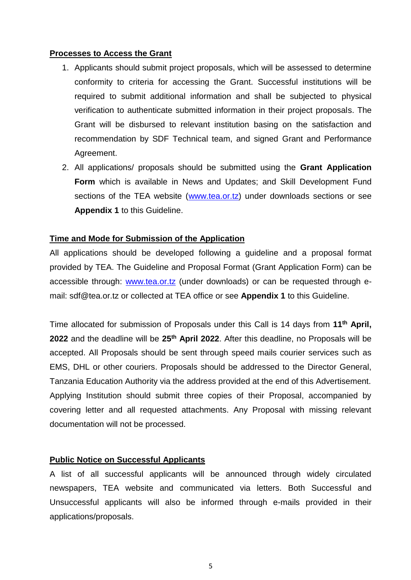#### **Processes to Access the Grant**

- 1. Applicants should submit project proposals, which will be assessed to determine conformity to criteria for accessing the Grant. Successful institutions will be required to submit additional information and shall be subjected to physical verification to authenticate submitted information in their project proposals. The Grant will be disbursed to relevant institution basing on the satisfaction and recommendation by SDF Technical team, and signed Grant and Performance Agreement.
- 2. All applications/ proposals should be submitted using the **Grant Application Form** which is available in News and Updates; and Skill Development Fund sections of the TEA website [\(www.tea.or.tz\)](http://www.tea.or.tz/) under downloads sections or see **Appendix 1** to this Guideline.

#### **Time and Mode for Submission of the Application**

All applications should be developed following a guideline and a proposal format provided by TEA. The Guideline and Proposal Format (Grant Application Form) can be accessible through: [www.tea.or.tz](http://www.tea.or.tz/) (under downloads) or can be requested through email: sdf@tea.or.tz or collected at TEA office or see **Appendix 1** to this Guideline.

Time allocated for submission of Proposals under this Call is 14 days from **11th April, 2022** and the deadline will be **25th April 2022**. After this deadline, no Proposals will be accepted. All Proposals should be sent through speed mails courier services such as EMS, DHL or other couriers. Proposals should be addressed to the Director General, Tanzania Education Authority via the address provided at the end of this Advertisement. Applying Institution should submit three copies of their Proposal, accompanied by covering letter and all requested attachments. Any Proposal with missing relevant documentation will not be processed.

#### **Public Notice on Successful Applicants**

A list of all successful applicants will be announced through widely circulated newspapers, TEA website and communicated via letters. Both Successful and Unsuccessful applicants will also be informed through e-mails provided in their applications/proposals.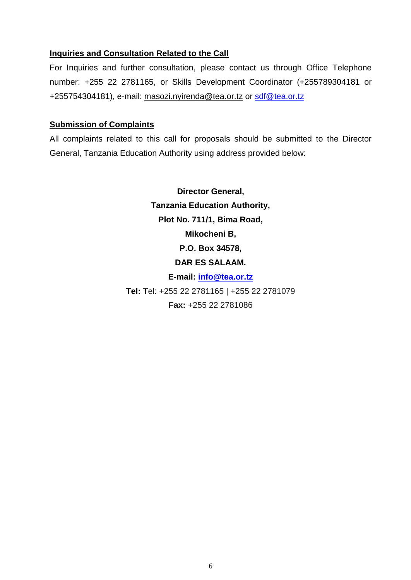#### **Inquiries and Consultation Related to the Call**

For Inquiries and further consultation, please contact us through Office Telephone number: +255 22 2781165, or Skills Development Coordinator (+255789304181 or +255754304181), e-mail: [masozi.nyirenda@tea.or.tz](mailto:masozi.nyirenda@tea.or.tz) or [sdf@tea.or.tz](mailto:sdf@tea.or.tz)

#### **Submission of Complaints**

All complaints related to this call for proposals should be submitted to the Director General, Tanzania Education Authority using address provided below:

> **Director General, Tanzania Education Authority, Plot No. 711/1, Bima Road, Mikocheni B, P.O. Box 34578, DAR ES SALAAM. E-mail: [info@tea.or.tz](mailto:info@tea.or.tz) Tel:** Tel: +255 22 2781165 | +255 22 2781079 **Fax:** +255 22 2781086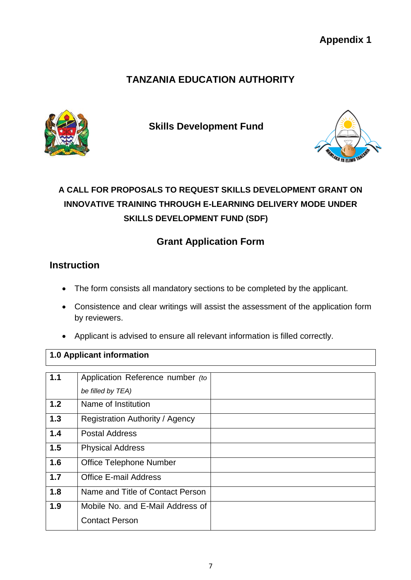## **TANZANIA EDUCATION AUTHORITY**



**Skills Development Fund** 



# **A CALL FOR PROPOSALS TO REQUEST SKILLS DEVELOPMENT GRANT ON INNOVATIVE TRAINING THROUGH E-LEARNING DELIVERY MODE UNDER SKILLS DEVELOPMENT FUND (SDF)**

## **Grant Application Form**

## **Instruction**

- The form consists all mandatory sections to be completed by the applicant.
- Consistence and clear writings will assist the assessment of the application form by reviewers.
- Applicant is advised to ensure all relevant information is filled correctly.

## **1.0 Applicant information**

| 1.1 | Application Reference number (to |  |
|-----|----------------------------------|--|
|     | be filled by TEA)                |  |
|     |                                  |  |
| 1.2 | Name of Institution              |  |
| 1.3 | Registration Authority / Agency  |  |
| 1.4 | <b>Postal Address</b>            |  |
|     |                                  |  |
| 1.5 | <b>Physical Address</b>          |  |
| 1.6 | <b>Office Telephone Number</b>   |  |
|     |                                  |  |
| 1.7 | <b>Office E-mail Address</b>     |  |
| 1.8 | Name and Title of Contact Person |  |
|     |                                  |  |
| 1.9 | Mobile No. and E-Mail Address of |  |
|     | <b>Contact Person</b>            |  |
|     |                                  |  |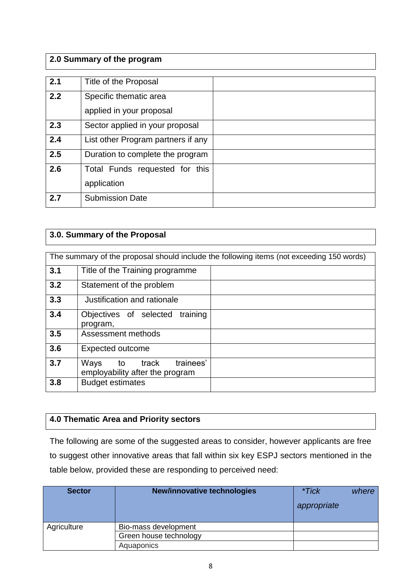## **2.0 Summary of the program**

| 2.1 | Title of the Proposal                              |  |
|-----|----------------------------------------------------|--|
| 2.2 | Specific thematic area<br>applied in your proposal |  |
| 2.3 | Sector applied in your proposal                    |  |
| 2.4 | List other Program partners if any                 |  |
| 2.5 | Duration to complete the program                   |  |
| 2.6 | Total Funds requested for this<br>application      |  |
| 2.7 | <b>Submission Date</b>                             |  |

## **3.0. Summary of the Proposal**

|     | The summary of the proposal should include the following items (not exceeding 150 words) |  |  |  |  |  |  |
|-----|------------------------------------------------------------------------------------------|--|--|--|--|--|--|
| 3.1 | Title of the Training programme                                                          |  |  |  |  |  |  |
| 3.2 | Statement of the problem                                                                 |  |  |  |  |  |  |
| 3.3 | Justification and rationale                                                              |  |  |  |  |  |  |
| 3.4 | Objectives of selected<br>training<br>program,                                           |  |  |  |  |  |  |
| 3.5 | Assessment methods                                                                       |  |  |  |  |  |  |
| 3.6 | <b>Expected outcome</b>                                                                  |  |  |  |  |  |  |
| 3.7 | trainees'<br>Ways<br>to<br>track<br>employability after the program                      |  |  |  |  |  |  |
| 3.8 | <b>Budget estimates</b>                                                                  |  |  |  |  |  |  |

## **4.0 Thematic Area and Priority sectors**

The following are some of the suggested areas to consider, however applicants are free to suggest other innovative areas that fall within six key ESPJ sectors mentioned in the table below, provided these are responding to perceived need:

| <b>Sector</b> | New/innovative technologies | *Tick<br>appropriate | where |
|---------------|-----------------------------|----------------------|-------|
| Agriculture   | Bio-mass development        |                      |       |
|               | Green house technology      |                      |       |
|               | Aquaponics                  |                      |       |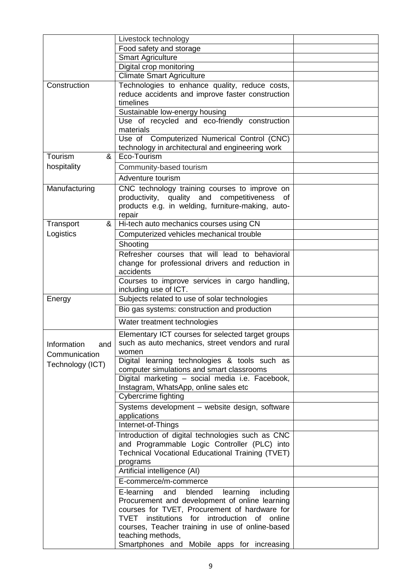|                    | Livestock technology                                                                             |  |
|--------------------|--------------------------------------------------------------------------------------------------|--|
|                    | Food safety and storage                                                                          |  |
|                    | <b>Smart Agriculture</b>                                                                         |  |
|                    | Digital crop monitoring                                                                          |  |
|                    | <b>Climate Smart Agriculture</b>                                                                 |  |
| Construction       | Technologies to enhance quality, reduce costs,                                                   |  |
|                    | reduce accidents and improve faster construction                                                 |  |
|                    | timelines                                                                                        |  |
|                    | Sustainable low-energy housing                                                                   |  |
|                    | Use of recycled and eco-friendly construction                                                    |  |
|                    | materials                                                                                        |  |
|                    | Use of Computerized Numerical Control (CNC)                                                      |  |
|                    | technology in architectural and engineering work                                                 |  |
| Tourism<br>&       | Eco-Tourism                                                                                      |  |
| hospitality        | Community-based tourism                                                                          |  |
|                    | Adventure tourism                                                                                |  |
| Manufacturing      | CNC technology training courses to improve on                                                    |  |
|                    | productivity, quality and competitiveness<br>of                                                  |  |
|                    | products e.g. in welding, furniture-making, auto-                                                |  |
|                    | repair                                                                                           |  |
| Transport<br>&     | Hi-tech auto mechanics courses using CN                                                          |  |
| Logistics          | Computerized vehicles mechanical trouble                                                         |  |
|                    | Shooting                                                                                         |  |
|                    | Refresher courses that will lead to behavioral                                                   |  |
|                    | change for professional drivers and reduction in                                                 |  |
|                    | accidents                                                                                        |  |
|                    | Courses to improve services in cargo handling,                                                   |  |
|                    | including use of ICT.                                                                            |  |
| Energy             | Subjects related to use of solar technologies                                                    |  |
|                    | Bio gas systems: construction and production                                                     |  |
|                    | Water treatment technologies                                                                     |  |
|                    | Elementary ICT courses for selected target groups                                                |  |
| Information<br>and | such as auto mechanics, street vendors and rural                                                 |  |
| Communication      | women                                                                                            |  |
|                    | Digital learning technologies & tools such as                                                    |  |
| Technology (ICT)   | computer simulations and smart classrooms                                                        |  |
|                    | Digital marketing - social media i.e. Facebook,                                                  |  |
|                    | Instagram, WhatsApp, online sales etc                                                            |  |
|                    | Cybercrime fighting                                                                              |  |
|                    | Systems development - website design, software<br>applications                                   |  |
|                    | Internet-of-Things                                                                               |  |
|                    |                                                                                                  |  |
|                    | Introduction of digital technologies such as CNC<br>and Programmable Logic Controller (PLC) into |  |
|                    | Technical Vocational Educational Training (TVET)                                                 |  |
|                    | programs                                                                                         |  |
|                    | Artificial intelligence (AI)                                                                     |  |
|                    | E-commerce/m-commerce                                                                            |  |
|                    |                                                                                                  |  |
|                    | E-learning<br>blended<br>and<br>learning<br>including                                            |  |
|                    | Procurement and development of online learning<br>courses for TVET, Procurement of hardware for  |  |
|                    | TVET<br>institutions<br>for introduction<br>of<br>online                                         |  |
|                    | courses, Teacher training in use of online-based                                                 |  |
|                    | teaching methods,                                                                                |  |
|                    | Smartphones and Mobile apps for increasing                                                       |  |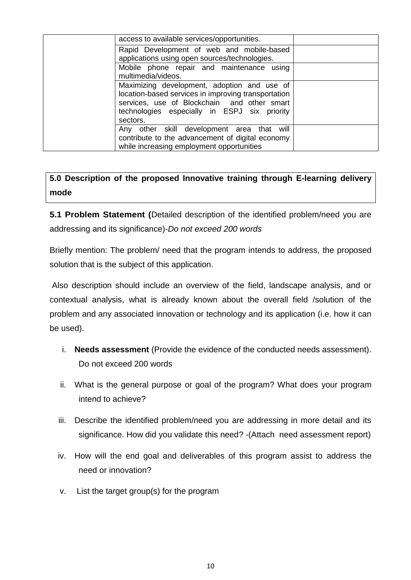| access to available services/opportunities.                                                                                                                                                                   |  |
|---------------------------------------------------------------------------------------------------------------------------------------------------------------------------------------------------------------|--|
| Rapid Development of web and mobile-based                                                                                                                                                                     |  |
| applications using open sources/technologies.                                                                                                                                                                 |  |
| Mobile phone repair and maintenance using<br>multimedia/videos.                                                                                                                                               |  |
| Maximizing development, adoption and use of<br>location-based services in improving transportation<br>services, use of Blockchain and other smart<br>technologies especially in ESPJ six priority<br>sectors. |  |
| Any other skill development area that will<br>contribute to the advancement of digital economy<br>while increasing employment opportunities                                                                   |  |

## **5.0 Description of the proposed Innovative training through E-learning delivery mode**

**5.1 Problem Statement (**Detailed description of the identified problem/need you are addressing and its significance)-*Do not exceed 200 words*

Briefly mention: The problem/ need that the program intends to address, the proposed solution that is the subject of this application.

Also description should include an overview of the field, landscape analysis, and or contextual analysis, what is already known about the overall field /solution of the problem and any associated innovation or technology and its application (i.e. how it can be used).

- i. **Needs assessment** (Provide the evidence of the conducted needs assessment). Do not exceed 200 words
- ii. What is the general purpose or goal of the program? What does your program intend to achieve?
- iii. Describe the identified problem/need you are addressing in more detail and its significance. How did you validate this need? -(Attach need assessment report)
- iv. How will the end goal and deliverables of this program assist to address the need or innovation?
- v. List the target group(s) for the program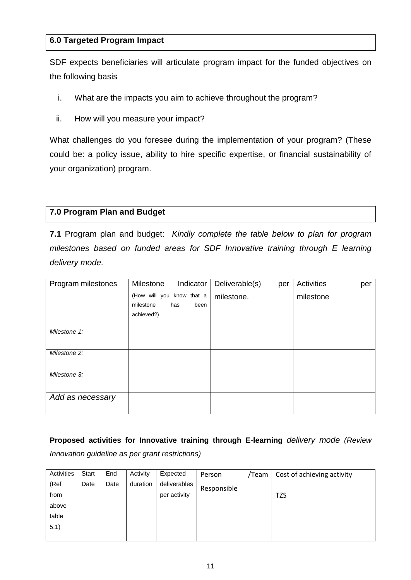#### **6.0 Targeted Program Impact**

SDF expects beneficiaries will articulate program impact for the funded objectives on the following basis

- i. What are the impacts you aim to achieve throughout the program?
- ii. How will you measure your impact?

What challenges do you foresee during the implementation of your program? (These could be: a policy issue, ability to hire specific expertise, or financial sustainability of your organization) program.

#### **7.0 Program Plan and Budget**

**7.1** Program plan and budget: *Kindly complete the table below to plan for program milestones based on funded areas for SDF Innovative training through E learning delivery mode.*

| Program milestones | Milestone                 | Indicator   | Deliverable(s) | per | <b>Activities</b> | per |
|--------------------|---------------------------|-------------|----------------|-----|-------------------|-----|
|                    | (How will you know that a |             | milestone.     |     | milestone         |     |
|                    | milestone                 | has<br>been |                |     |                   |     |
|                    | achieved?)                |             |                |     |                   |     |
|                    |                           |             |                |     |                   |     |
| Milestone 1:       |                           |             |                |     |                   |     |
|                    |                           |             |                |     |                   |     |
| Milestone 2:       |                           |             |                |     |                   |     |
|                    |                           |             |                |     |                   |     |
| Milestone 3:       |                           |             |                |     |                   |     |
|                    |                           |             |                |     |                   |     |
| Add as necessary   |                           |             |                |     |                   |     |
|                    |                           |             |                |     |                   |     |

## **Proposed activities for Innovative training through E-learning** *delivery mode (Review*

*Innovation guideline as per grant restrictions)*

| Activities | Start | End  | Activity | Expected     | Person      | /Team | Cost of achieving activity |
|------------|-------|------|----------|--------------|-------------|-------|----------------------------|
| (Ref       | Date  | Date | duration | deliverables | Responsible |       |                            |
| from       |       |      |          | per activity |             |       | <b>TZS</b>                 |
| above      |       |      |          |              |             |       |                            |
| table      |       |      |          |              |             |       |                            |
| 5.1)       |       |      |          |              |             |       |                            |
|            |       |      |          |              |             |       |                            |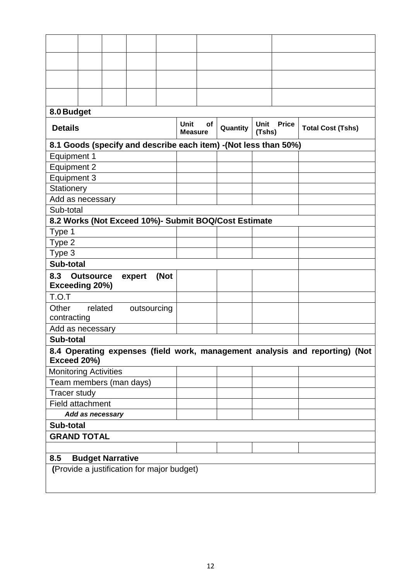| 8.0 Budget                   |                         |  |                                            |      |                               |           |                                                                 |                |              |                                                                             |
|------------------------------|-------------------------|--|--------------------------------------------|------|-------------------------------|-----------|-----------------------------------------------------------------|----------------|--------------|-----------------------------------------------------------------------------|
| <b>Details</b>               |                         |  |                                            |      | <b>Unit</b><br><b>Measure</b> | <b>of</b> | Quantity                                                        | Unit<br>(Tshs) | <b>Price</b> | <b>Total Cost (Tshs)</b>                                                    |
|                              |                         |  |                                            |      |                               |           | 8.1 Goods (specify and describe each item) -(Not less than 50%) |                |              |                                                                             |
| <b>Equipment 1</b>           |                         |  |                                            |      |                               |           |                                                                 |                |              |                                                                             |
| Equipment 2                  |                         |  |                                            |      |                               |           |                                                                 |                |              |                                                                             |
| Equipment 3                  |                         |  |                                            |      |                               |           |                                                                 |                |              |                                                                             |
| Stationery                   |                         |  |                                            |      |                               |           |                                                                 |                |              |                                                                             |
| Add as necessary             |                         |  |                                            |      |                               |           |                                                                 |                |              |                                                                             |
| Sub-total                    |                         |  |                                            |      |                               |           |                                                                 |                |              |                                                                             |
|                              |                         |  |                                            |      |                               |           | 8.2 Works (Not Exceed 10%)- Submit BOQ/Cost Estimate            |                |              |                                                                             |
| Type 1                       |                         |  |                                            |      |                               |           |                                                                 |                |              |                                                                             |
| Type 2                       |                         |  |                                            |      |                               |           |                                                                 |                |              |                                                                             |
| Type 3                       |                         |  |                                            |      |                               |           |                                                                 |                |              |                                                                             |
| Sub-total                    |                         |  |                                            |      |                               |           |                                                                 |                |              |                                                                             |
| 8.3<br>Exceeding 20%)        | <b>Outsource</b>        |  | expert                                     | (Not |                               |           |                                                                 |                |              |                                                                             |
| T.O.T                        |                         |  |                                            |      |                               |           |                                                                 |                |              |                                                                             |
| Other<br>contracting         | related                 |  | outsourcing                                |      |                               |           |                                                                 |                |              |                                                                             |
| Add as necessary             |                         |  |                                            |      |                               |           |                                                                 |                |              |                                                                             |
| Sub-total                    |                         |  |                                            |      |                               |           |                                                                 |                |              |                                                                             |
| Exceed 20%)                  |                         |  |                                            |      |                               |           |                                                                 |                |              | 8.4 Operating expenses (field work, management analysis and reporting) (Not |
| <b>Monitoring Activities</b> |                         |  |                                            |      |                               |           |                                                                 |                |              |                                                                             |
| Team members (man days)      |                         |  |                                            |      |                               |           |                                                                 |                |              |                                                                             |
| <b>Tracer study</b>          |                         |  |                                            |      |                               |           |                                                                 |                |              |                                                                             |
| <b>Field attachment</b>      |                         |  |                                            |      |                               |           |                                                                 |                |              |                                                                             |
| Add as necessary             |                         |  |                                            |      |                               |           |                                                                 |                |              |                                                                             |
| Sub-total                    |                         |  |                                            |      |                               |           |                                                                 |                |              |                                                                             |
|                              | <b>GRAND TOTAL</b>      |  |                                            |      |                               |           |                                                                 |                |              |                                                                             |
|                              |                         |  |                                            |      |                               |           |                                                                 |                |              |                                                                             |
| 8.5                          | <b>Budget Narrative</b> |  |                                            |      |                               |           |                                                                 |                |              |                                                                             |
|                              |                         |  | (Provide a justification for major budget) |      |                               |           |                                                                 |                |              |                                                                             |
|                              |                         |  |                                            |      |                               |           |                                                                 |                |              |                                                                             |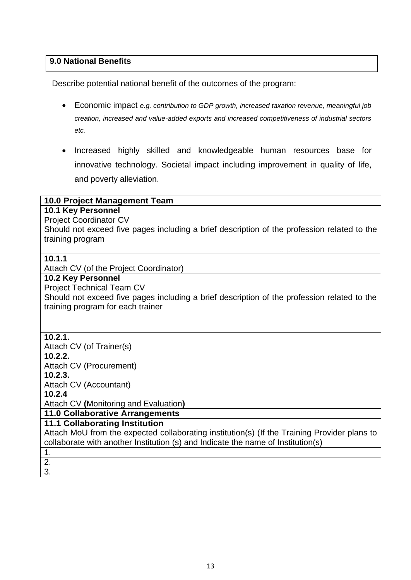## **9.0 National Benefits**

Describe potential national benefit of the outcomes of the program:

- Economic impact *e.g. contribution to GDP growth, increased taxation revenue, meaningful job creation, increased and value-added exports and increased competitiveness of industrial sectors etc.*
- Increased highly skilled and knowledgeable human resources base for innovative technology. Societal impact including improvement in quality of life, and poverty alleviation.

#### **10.0 Project Management Team**

#### **10.1 Key Personnel**

Project Coordinator CV

Should not exceed five pages including a brief description of the profession related to the training program

#### **10.1.1**

Attach CV (of the Project Coordinator)

#### **10.2 Key Personnel**

Project Technical Team CV Should not exceed five pages including a brief description of the profession related to the training program for each trainer

#### **10.2.1.**

Attach CV (of Trainer(s) **10.2.2.**  Attach CV (Procurement) **10.2.3.**  Attach CV (Accountant) **10.2.4** 

Attach CV **(**Monitoring and Evaluation**)**

**11.0 Collaborative Arrangements**

#### **11.1 Collaborating Institution**

Attach MoU from the expected collaborating institution(s) (If the Training Provider plans to collaborate with another Institution (s) and Indicate the name of Institution(s)

## 1.

2. 3.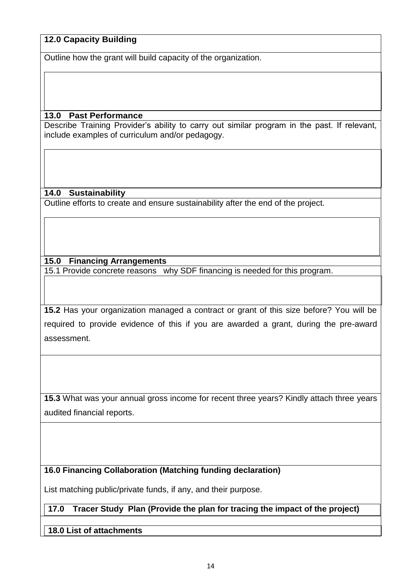## **12.0 Capacity Building**

Outline how the grant will build capacity of the organization.

#### **13.0 Past Performance**

Describe Training Provider's ability to carry out similar program in the past. If relevant, include examples of curriculum and/or pedagogy.

#### **14.0 Sustainability**

Outline efforts to create and ensure sustainability after the end of the project.

## **15.0 Financing Arrangements**

15.1 Provide concrete reasons why SDF financing is needed for this program.

**15.2** Has your organization managed a contract or grant of this size before? You will be required to provide evidence of this if you are awarded a grant, during the pre-award assessment.

**15.3** What was your annual gross income for recent three years? Kindly attach three years audited financial reports.

## **16.0 Financing Collaboration (Matching funding declaration)**

List matching public/private funds, if any, and their purpose.

## **17.0 Tracer Study Plan (Provide the plan for tracing the impact of the project)**

## **18.0 List of attachments**